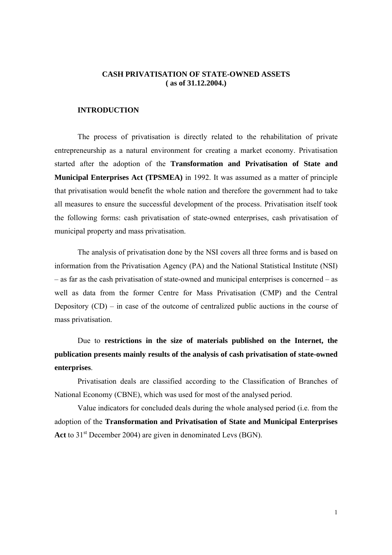### **CASH PRIVATISATION OF STATE-OWNED ASSETS ( as of 31.12.2004.)**

#### **INTRODUCTION**

The process of privatisation is directly related to the rehabilitation of private entrepreneurship as a natural environment for creating a market economy. Privatisation started after the adoption of the **Transformation and Privatisation of State and Municipal Enterprises Act (TPSMEA)** in 1992. It was assumed as a matter of principle that privatisation would benefit the whole nation and therefore the government had to take all measures to ensure the successful development of the process. Privatisation itself took the following forms: cash privatisation of state-owned enterprises, cash privatisation of municipal property and mass privatisation.

The analysis of privatisation done by the NSI covers all three forms and is based on information from the Privatisation Agency (PA) and the National Statistical Institute (NSI) – as far as the cash privatisation of state-owned and municipal enterprises is concerned – as well as data from the former Centre for Mass Privatisation (CMP) and the Central Depository  $(CD)$  – in case of the outcome of centralized public auctions in the course of mass privatisation.

Due to **restrictions in the size of materials published on the Internet, the publication presents mainly results of the analysis of cash privatisation of state-owned enterprises**.

Privatisation deals are classified according to the Classification of Branches of National Economy (CBNE), which was used for most of the analysed period.

Value indicators for concluded deals during the whole analysed period (i.e. from the adoption of the **Transformation and Privatisation of State and Municipal Enterprises**  Act to 31<sup>st</sup> December 2004) are given in denominated Levs (BGN).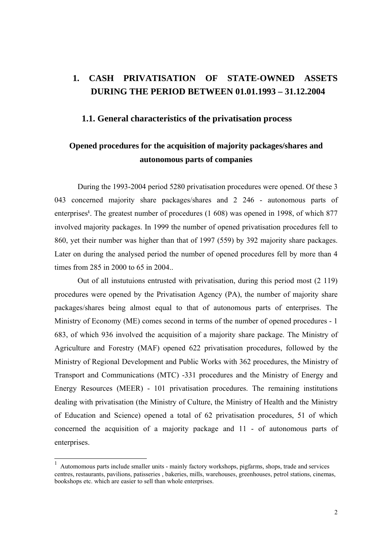# **1. CASH PRIVATISATION OF STATE-OWNED ASSETS DURING THE PERIOD BETWEEN 01.01.1993 – 31.12.2004**

### **1.1. General characteristics of the privatisation process**

# **Opened procedures for the acquisition of majority packages/shares and autonomous parts of companies**

During the 1993-2004 period 5280 privatisation procedures were opened. Of these 3 043 concerned majority share packages/shares and 2 246 - autonomous parts of enterprises<sup>1</sup>. The greatest number of procedures (1 608) was opened in 1998, of which 877 involved majority packages. In 1999 the number of opened privatisation procedures fell to 860, yet their number was higher than that of 1997 (559) by 392 majority share packages. Later on during the analysed period the number of opened procedures fell by more than 4 times from 285 in 2000 to 65 in 2004..

Out of all instutuions entrusted with privatisation, during this period most (2 119) procedures were opened by the Privatisation Agency (PA), the number of majority share packages/shares being almost equal to that of autonomous parts of enterprises. The Ministry of Economy (ME) comes second in terms of the number of opened procedures - 1 683, of which 936 involved the acquisition of a majority share package. The Ministry of Agriculture and Forestry (MAF) opened 622 privatisation procedures, followed by the Ministry of Regional Development and Public Works with 362 procedures, the Ministry of Transport and Communications (MTC) -331 procedures and the Ministry of Energy and Energy Resources (MEER) - 101 privatisation procedures. The remaining institutions dealing with privatisation (the Ministry of Culture, the Ministry of Health and the Ministry of Education and Science) opened a total of 62 privatisation procedures, 51 of which concerned the acquisition of a majority package and 11 - of autonomous parts of enterprises.

l

<sup>1</sup> Automomous parts include smaller units - mainly factory workshops, pigfarms, shops, trade and services centres, restaurants, pavilions, patisseries , bakeries, mills, warehouses, greenhouses, petrol stations, cinemas, bookshops etc. which are easier to sell than whole enterprises.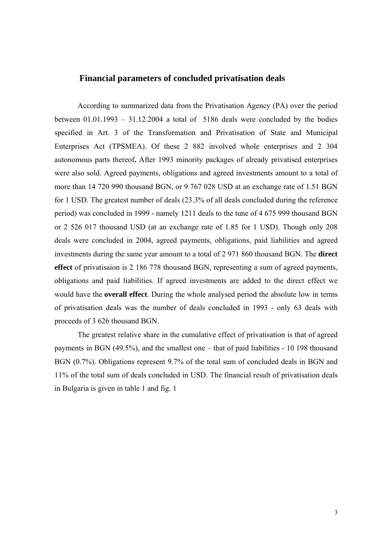## **Financial parameters of concluded privatisation deals**

According to summarized data from the Privatisation Agency (PA) over the period between  $01.01.1993 - 31.12.2004$  a total of 5186 deals were concluded by the bodies specified in Art. 3 of the Transformation and Privatisation of State and Municipal Enterprises Act (TPSMEA). Of these 2 882 involved whole enterprises and 2 304 autonomous parts thereof**.** After 1993 minority packages of already privatised enterprises were also sold. Agreed payments, obligations and agreed investments amount to a total of more than 14 720 990 thousand BGN, or 9 767 028 USD at an exchange rate of 1.51 BGN for 1 USD. The greatest number of deals (23.3% of all deals concluded during the reference period) was concluded in 1999 - namely 1211 deals to the tune of 4 675 999 thousand BGN or 2 526 017 thousand USD (at an exchange rate of 1.85 for 1 USD). Though only 208 deals were concluded in 2004, agreed payments, obligations, paid liabilities and agreed investments during the same year amount to a total of 2 971 860 thousand BGN. The **direct effect** of privatisaion is 2 186 778 thousand BGN, representing a sum of agreed payments, obligations and paid liabilities. If agreed investments are added to the direct effect we would have the **overall effect**. During the whole analysed period the absolute low in terms of privatisation deals was the number of deals concluded in 1993 - only 63 deals with proceeds of 3 626 thousand BGN.

The greatest relative share in the cumulative effect of privatisation is that of agreed payments in BGN (49.5%), and the smallest one – that of paid liabilities - 10 198 thousand BGN (0.7%). Obligations represent 9.7% of the total sum of concluded deals in BGN and 11% of the total sum of deals concluded in USD. The financial result of privatisation deals in Bulgaria is given in table 1 and fig. 1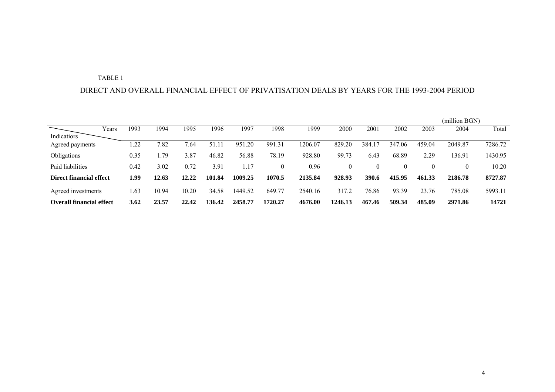#### TABLE 1

#### DIRECT AND OVERALL FINANCIAL EFFECT OF PRIVATISATION DEALS BY YEARS FOR THE 1993-2004 PERIOD

|                                 |       |      |        |       |            |         |              |         |          |        |        |          | (million BGN) |         |
|---------------------------------|-------|------|--------|-------|------------|---------|--------------|---------|----------|--------|--------|----------|---------------|---------|
|                                 | Years | 1993 | 1994   | 1995  | 1996       | 1997    | 1998         | 1999    | 2000     | 2001   | 2002   | 2003     | 2004          | Total   |
| Indicatiors                     |       |      |        |       |            |         |              |         |          |        |        |          |               |         |
| Agreed payments                 |       | 1.22 | 7.82   | 7.64  | 51.11      | 951.20  | 991.31       | 1206.07 | 829.20   | 384    | 347.06 | 459.04   | 2049.87       | 7286.72 |
| Obligations                     |       | 0.35 | . . 79 | 3.87  | 46.82      | 56.88   | 78.19        | 928.80  | 99.73    | 6.43   | 68.89  | 2.29     | 136.91        | 1430.95 |
| Paid liabilities                |       | 0.42 | 3.02   | 0.72  | 3.91       | 1.17    | $\mathbf{0}$ | 0.96    | $\theta$ |        | 0      | $\Omega$ | 0             | 10.20   |
| Direct financial effect         |       | 1.99 | 12.63  | 12.22 | 101<br>.84 | 1009.25 | 1070.5       | 2135.84 | 928.93   | 390.6  | 415.95 | 461.33   | 2186.78       | 8727.87 |
| Agreed investments              |       | 1.63 | 10.94  | 10.20 | 34.58      | 1449.52 | 649.77       | 2540.16 | 317.2    | 76.86  | 93.39  | 23.76    | 785.08        | 5993.11 |
| <b>Overall financial effect</b> |       | 3.62 | 23.57  | 22.42 | 136.42     | 2458.77 | 1720.27      | 4676.00 | 1246.13  | 467.46 | 509.34 | 485.09   | 2971.86       | 14721   |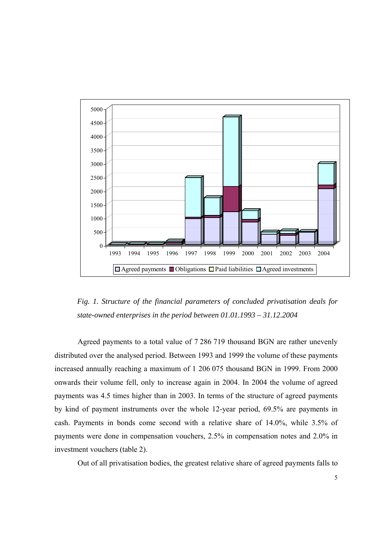

*Fig. 1. Structure of the financial parameters of concluded privatisation deals for state-owned enterprises in the period between 01.01.1993 – 31.12.2004* 

Agreed payments to a total value of 7 286 719 thousand BGN are rather unevenly distributed over the analysed period. Between 1993 and 1999 the volume of these payments increased annually reaching a maximum of 1 206 075 thousand BGN in 1999. From 2000 onwards their volume fell, only to increase again in 2004. In 2004 the volume of agreed payments was 4.5 times higher than in 2003. In terms of the structure of agreed payments by kind of payment instruments over the whole 12-year period, 69.5% are payments in cash. Payments in bonds come second with a relative share of 14.0%, while 3.5% of payments were done in compensation vouchers, 2.5% in compensation notes and 2.0% in investment vouchers (table 2).

Out of all privatisation bodies, the greatest relative share of agreed payments falls to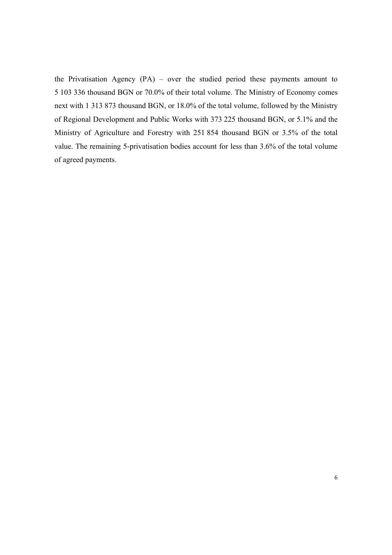the Privatisation Agency (PA) – over the studied period these payments amount to 5 103 336 thousand BGN or 70.0% of their total volume. The Ministry of Economy comes next with 1 313 873 thousand BGN, or 18.0% of the total volume, followed by the Ministry of Regional Development and Public Works with 373 225 thousand BGN, or 5.1% and the Ministry of Agriculture and Forestry with 251 854 thousand BGN or 3.5% of the total value. The remaining 5-privatisation bodies account for less than 3.6% of the total volume of agreed payments.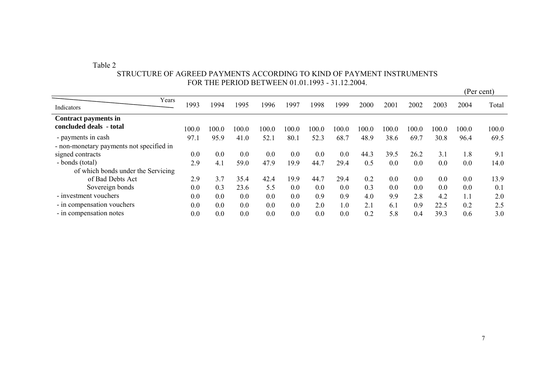Table 2

|                                                 |       |       |       | 1 YR 1110 I DRYD DDI 9 DDI 91.91.1999 |       |       |         |       |       |       |       |       | (Per cent) |
|-------------------------------------------------|-------|-------|-------|---------------------------------------|-------|-------|---------|-------|-------|-------|-------|-------|------------|
| Years<br>Indicators                             | 1993  | 1994  | 1995  | 1996                                  | 1997  | 1998  | 1999    | 2000  | 2001  | 2002  | 2003  | 2004  | Total      |
| Contract payments in<br>concluded deals - total | 100.0 | 100.0 | 100.0 | 100.0                                 | 100.0 | 100.0 | 100.0   | 100.0 | 100.0 | 100.0 | 100.0 | 100.0 | 100.0      |
| - payments in cash                              | 97.1  | 95.9  | 41.0  | 52.1                                  | 80.1  | 52.3  | 68.7    | 48.9  | 38.6  | 69.7  | 30.8  | 96.4  | 69.5       |
| - non-monetary payments not specified in        |       |       |       |                                       |       |       |         |       |       |       |       |       |            |
| signed contracts                                | 0.0   | 0.0   | 0.0   | 0.0                                   | 0.0   | 0.0   | $0.0\,$ | 44.3  | 39.5  | 26.2  | 3.1   | 1.8   | 9.1        |
| - bonds (total)                                 | 2.9   | 4.1   | 59.0  | 47.9                                  | 19.9  | 44.7  | 29.4    | 0.5   | 0.0   | 0.0   | 0.0   | 0.0   | 14.0       |
| of which bonds under the Servicing              |       |       |       |                                       |       |       |         |       |       |       |       |       |            |
| of Bad Debts Act                                | 2.9   | 3.7   | 35.4  | 42.4                                  | 19.9  | 44.7  | 29.4    | 0.2   | 0.0   | 0.0   | 0.0   | 0.0   | 13.9       |
| Sovereign bonds                                 | 0.0   | 0.3   | 23.6  | 5.5                                   | 0.0   | 0.0   | 0.0     | 0.3   | 0.0   | 0.0   | 0.0   | 0.0   | 0.1        |
| - investment vouchers                           | 0.0   | 0.0   | 0.0   | 0.0                                   | 0.0   | 0.9   | 0.9     | 4.0   | 9.9   | 2.8   | 4.2   | 1.1   | 2.0        |
| - in compensation vouchers                      | 0.0   | 0.0   | 0.0   | 0.0                                   | 0.0   | 2.0   | 1.0     | 2.1   | 6.1   | 0.9   | 22.5  | 0.2   | 2.5        |
| - in compensation notes                         | 0.0   | 0.0   | 0.0   | 0.0                                   | 0.0   | 0.0   | 0.0     | 0.2   | 5.8   | 0.4   | 39.3  | 0.6   | 3.0        |

# STRUCTURE OF AGREED PAYMENTS ACCORDING TO KIND OF PAYMENT INSTRUMENTS FOR THE PERIOD BETWEEN 01.01.1993 - 31.12.2004.

7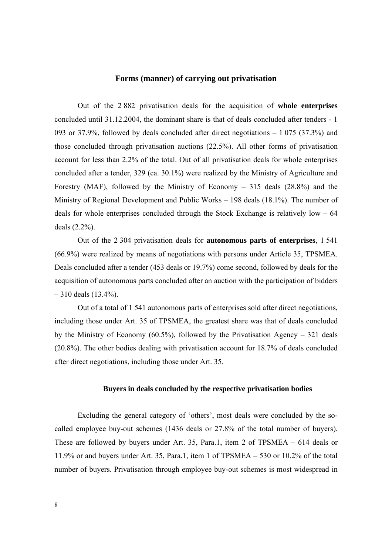### **Forms (manner) of carrying out privatisation**

Out of the 2 882 privatisation deals for the acquisition of **whole enterprises** concluded until 31.12.2004, the dominant share is that of deals concluded after tenders - 1 093 or 37.9%, followed by deals concluded after direct negotiations – 1 075 (37.3%) and those concluded through privatisation auctions (22.5%). All other forms of privatisation account for less than 2.2% of the total. Out of all privatisation deals for whole enterprises concluded after a tender, 329 (ca. 30.1%) were realized by the Ministry of Agriculture and Forestry (MAF), followed by the Ministry of Economy – 315 deals (28.8%) and the Ministry of Regional Development and Public Works – 198 deals (18.1%). The number of deals for whole enterprises concluded through the Stock Exchange is relatively low – 64 deals (2.2%).

Out of the 2 304 privatisation deals for **autonomous parts of enterprises**, 1 541 (66.9%) were realized by means of negotiations with persons under Article 35, TPSMEA. Deals concluded after a tender (453 deals or 19.7%) come second, followed by deals for the acquisition of autonomous parts concluded after an auction with the participation of bidders  $-310$  deals (13.4%).

Out of a total of 1 541 autonomous parts of enterprises sold after direct negotiations, including those under Art. 35 of TPSMEA, the greatest share was that of deals concluded by the Ministry of Economy (60.5%), followed by the Privatisation Agency – 321 deals (20.8%). The other bodies dealing with privatisation account for 18.7% of deals concluded after direct negotiations, including those under Art. 35.

#### **Buyers in deals concluded by the respective privatisation bodies**

Excluding the general category of 'others', most deals were concluded by the socalled employee buy-out schemes (1436 deals or 27.8% of the total number of buyers). These are followed by buyers under Art. 35, Para.1, item 2 of TPSMEA – 614 deals or 11.9% or and buyers under Art. 35, Para.1, item 1 of TPSMEA – 530 or 10.2% of the total number of buyers. Privatisation through employee buy-out schemes is most widespread in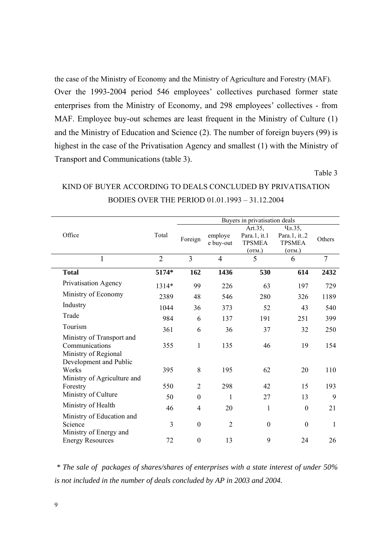the case of the Ministry of Economy and the Ministry of Agriculture and Forestry (MAF). Over the 1993-2004 period 546 employees' collectives purchased former state enterprises from the Ministry of Economy, and 298 employees' collectives - from MAF. Employee buy-out schemes are least frequent in the Ministry of Culture (1) and the Ministry of Education and Science (2). The number of foreign buyers (99) is highest in the case of the Privatisation Agency and smallest (1) with the Ministry of Transport and Communications (table 3).

Table 3

|                                                                     |                | Buyers in privatisation deals |                      |                                                    |                                                  |                |  |  |  |  |
|---------------------------------------------------------------------|----------------|-------------------------------|----------------------|----------------------------------------------------|--------------------------------------------------|----------------|--|--|--|--|
| Office                                                              | Total          | Foreign                       | employe<br>e buy-out | Art.35,<br>Para.1, it.1<br><b>TPSMEA</b><br>(OTM.) | Чл.35,<br>Para.1, it2<br><b>TPSMEA</b><br>(OTM.) | Others         |  |  |  |  |
| $\mathbf{1}$                                                        | $\overline{2}$ | 3                             | $\overline{4}$       | 5                                                  | 6                                                | $\overline{7}$ |  |  |  |  |
| <b>Total</b>                                                        | 5174*          | 162                           | 1436                 | 530                                                | 614                                              | 2432           |  |  |  |  |
| Privatisation Agency                                                | 1314*          | 99                            | 226                  | 63                                                 | 197                                              | 729            |  |  |  |  |
| Ministry of Economy                                                 | 2389           | 48                            | 546                  | 280                                                | 326                                              | 1189           |  |  |  |  |
| Industry                                                            | 1044           | 36                            | 373                  | 52                                                 | 43                                               | 540            |  |  |  |  |
| Trade                                                               | 984            | 6                             | 137                  | 191                                                | 251                                              | 399            |  |  |  |  |
| Tourism                                                             | 361            | 6                             | 36                   | 37                                                 | 32                                               | 250            |  |  |  |  |
| Ministry of Transport and<br>Communications<br>Ministry of Regional | 355            | $\mathbf{1}$                  | 135                  | 46                                                 | 19                                               | 154            |  |  |  |  |
| Development and Public<br>Works<br>Ministry of Agriculture and      | 395            | 8                             | 195                  | 62                                                 | 20                                               | 110            |  |  |  |  |
| Forestry                                                            | 550            | $\overline{2}$                | 298                  | 42                                                 | 15                                               | 193            |  |  |  |  |
| Ministry of Culture                                                 | 50             | $\boldsymbol{0}$              | 1                    | 27                                                 | 13                                               | 9              |  |  |  |  |
| Ministry of Health                                                  | 46             | 4                             | 20                   | $\mathbf{1}$                                       | $\boldsymbol{0}$                                 | 21             |  |  |  |  |
| Ministry of Education and<br>Science<br>Ministry of Energy and      | 3              | $\mathbf{0}$                  | $\overline{2}$       | $\mathbf{0}$                                       | $\boldsymbol{0}$                                 | $\mathbf{1}$   |  |  |  |  |
| <b>Energy Resources</b>                                             | 72             | $\boldsymbol{0}$              | 13                   | 9                                                  | 24                                               | 26             |  |  |  |  |

# KIND OF BUYER ACCORDING TO DEALS CONCLUDED BY PRIVATISATION BODIES OVER THE PERIOD 01.01.1993 – 31.12.2004

 *\* The sale of packages of shares/shares of enterprises with a state interest of under 50% is not included in the number of deals concluded by AP in 2003 and 2004.*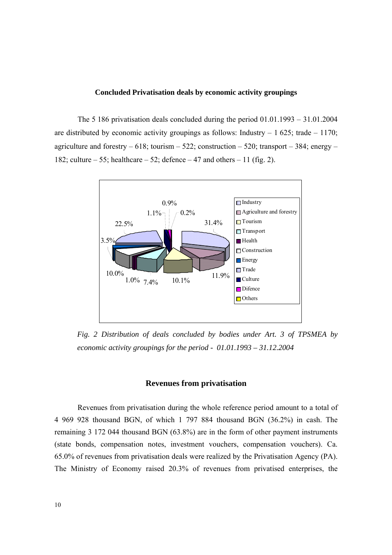#### **Concluded Privatisation deals by economic activity groupings**

The 5 186 privatisation deals concluded during the period 01.01.1993 – 31.01.2004 are distributed by economic activity groupings as follows: Industry  $-1625$ ; trade  $-1170$ ; agriculture and forestry  $-618$ ; tourism  $-522$ ; construction  $-520$ ; transport  $-384$ ; energy  $-$ 182; culture – 55; healthcare – 52; defence – 47 and others – 11 (fig. 2).



*Fig. 2 Distribution of deals concluded by bodies under Art. 3 of TPSMEA by economic activity groupings for the period - 01.01.1993 – 31.12.2004* 

#### **Revenues from privatisation**

Revenues from privatisation during the whole reference period amount to a total of 4 969 928 thousand BGN, of which 1 797 884 thousand BGN (36.2%) in cash. The remaining 3 172 044 thousand BGN (63.8%) are in the form of other payment instruments (state bonds, compensation notes, investment vouchers, compensation vouchers). Ca. 65.0% of revenues from privatisation deals were realized by the Privatisation Agency (PA). The Ministry of Economy raised 20.3% of revenues from privatised enterprises, the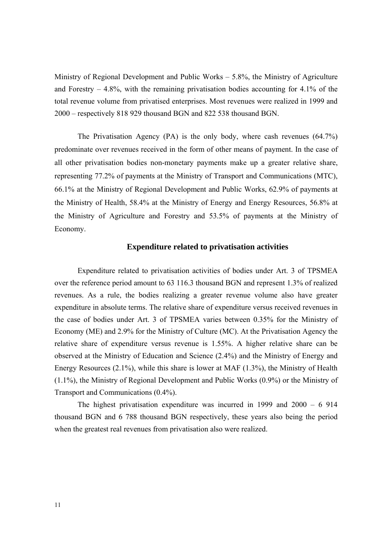Ministry of Regional Development and Public Works – 5.8%, the Ministry of Agriculture and Forestry  $-4.8\%$ , with the remaining privatisation bodies accounting for 4.1% of the total revenue volume from privatised enterprises. Most revenues were realized in 1999 and 2000 – respectively 818 929 thousand BGN and 822 538 thousand BGN.

The Privatisation Agency (PA) is the only body, where cash revenues (64.7%) predominate over revenues received in the form of other means of payment. In the case of all other privatisation bodies non-monetary payments make up a greater relative share, representing 77.2% of payments at the Ministry of Transport and Communications (MTC), 66.1% at the Ministry of Regional Development and Public Works, 62.9% of payments at the Ministry of Health, 58.4% at the Ministry of Energy and Energy Resources, 56.8% at the Ministry of Agriculture and Forestry and 53.5% of payments at the Ministry of Economy.

### **Expenditure related to privatisation activities**

Expenditure related to privatisation activities of bodies under Art. 3 of TPSMEA over the reference period amount to 63 116.3 thousand BGN and represent 1.3% of realized revenues. As a rule, the bodies realizing a greater revenue volume also have greater expenditure in absolute terms. The relative share of expenditure versus received revenues in the case of bodies under Art. 3 of TPSMEA varies between 0.35% for the Ministry of Economy (ME) and 2.9% for the Ministry of Culture (MC). At the Privatisation Agency the relative share of expenditure versus revenue is 1.55%. A higher relative share can be observed at the Ministry of Education and Science (2.4%) and the Ministry of Energy and Energy Resources (2.1%), while this share is lower at MAF (1.3%), the Ministry of Health (1.1%), the Ministry of Regional Development and Public Works (0.9%) or the Ministry of Transport and Communications (0.4%).

The highest privatisation expenditure was incurred in 1999 and 2000 – 6 914 thousand BGN and 6 788 thousand BGN respectively, these years also being the period when the greatest real revenues from privatisation also were realized.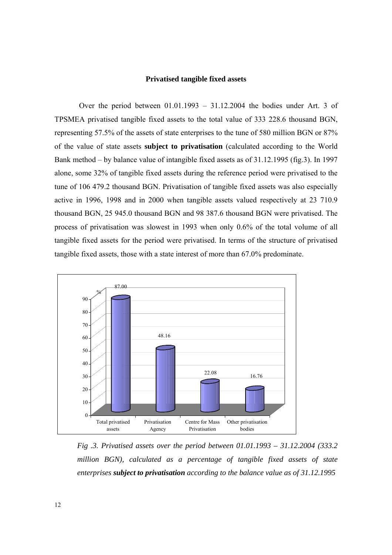#### **Privatised tangible fixed assets**

 Over the period between 01.01.1993 – 31.12.2004 the bodies under Art. 3 of TPSMEA privatised tangible fixed assets to the total value of 333 228.6 thousand BGN, representing 57.5% of the assets of state enterprises to the tune of 580 million BGN or 87% of the value of state assets **subject to privatisation** (calculated according to the World Bank method – by balance value of intangible fixed assets as of 31.12.1995 (fig.3). In 1997 alone, some 32% of tangible fixed assets during the reference period were privatised to the tune of 106 479.2 thousand BGN. Privatisation of tangible fixed assets was also especially active in 1996, 1998 and in 2000 when tangible assets valued respectively at 23 710.9 thousand BGN, 25 945.0 thousand BGN and 98 387.6 thousand BGN were privatised. The process of privatisation was slowest in 1993 when only 0.6% of the total volume of all tangible fixed assets for the period were privatised. In terms of the structure of privatised tangible fixed assets, those with a state interest of more than 67.0% predominate.



*Fig .3. Privatised assets over the period between 01.01.1993 – 31.12.2004 (333.2 million BGN), calculated as a percentage of tangible fixed assets of state enterprises subject to privatisation according to the balance value as of 31.12.1995*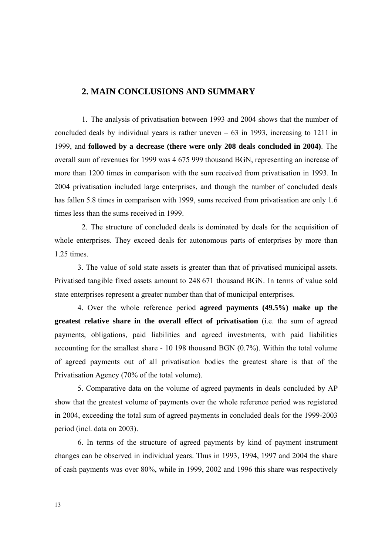# **2. MAIN CONCLUSIONS AND SUMMARY**

1. The analysis of privatisation between 1993 and 2004 shows that the number of concluded deals by individual years is rather uneven  $-63$  in 1993, increasing to 1211 in 1999, and **followed by a decrease (there were only 208 deals concluded in 2004)**. The overall sum of revenues for 1999 was 4 675 999 thousand BGN, representing an increase of more than 1200 times in comparison with the sum received from privatisation in 1993. In 2004 privatisation included large enterprises, and though the number of concluded deals has fallen 5.8 times in comparison with 1999, sums received from privatisation are only 1.6 times less than the sums received in 1999.

2. The structure of concluded deals is dominated by deals for the acquisition of whole enterprises. They exceed deals for autonomous parts of enterprises by more than 1.25 times.

3. The value of sold state assets is greater than that of privatised municipal assets. Privatised tangible fixed assets amount to 248 671 thousand BGN. In terms of value sold state enterprises represent a greater number than that of municipal enterprises.

4. Over the whole reference period **agreed payments (49.5%) make up the greatest relative share in the overall effect of privatisation** (i.e. the sum of agreed payments, obligations, paid liabilities and agreed investments, with paid liabilities accounting for the smallest share - 10 198 thousand BGN (0.7%). Within the total volume of agreed payments out of all privatisation bodies the greatest share is that of the Privatisation Agency (70% of the total volume).

5. Comparative data on the volume of agreed payments in deals concluded by AP show that the greatest volume of payments over the whole reference period was registered in 2004, exceeding the total sum of agreed payments in concluded deals for the 1999-2003 period (incl. data on 2003).

6. In terms of the structure of agreed payments by kind of payment instrument changes can be observed in individual years. Thus in 1993, 1994, 1997 and 2004 the share of cash payments was over 80%, while in 1999, 2002 and 1996 this share was respectively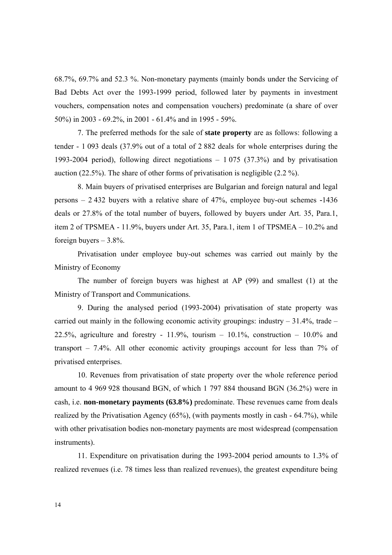68.7%, 69.7% and 52.3 %. Non-monetary payments (mainly bonds under the Servicing of Bad Debts Act over the 1993-1999 period, followed later by payments in investment vouchers, compensation notes and compensation vouchers) predominate (a share of over 50%) in 2003 - 69.2%, in 2001 - 61.4% and in 1995 - 59%.

7. The preferred methods for the sale of **state property** are as follows: following a tender - 1 093 deals (37.9% out of a total of 2 882 deals for whole enterprises during the 1993-2004 period), following direct negotiations – 1 075 (37.3%) and by privatisation auction (22.5%). The share of other forms of privatisation is negligible (2.2 %).

8. Main buyers of privatised enterprises are Bulgarian and foreign natural and legal persons – 2 432 buyers with a relative share of 47%, employee buy-out schemes **-**1436 deals or 27.8% of the total number of buyers, followed by buyers under Art. 35, Para.1, item 2 of TPSMEA - 11.9%, buyers under Art. 35, Para.1, item 1 of TPSMEA – 10.2% and foreign buyers  $-3.8\%$ .

Privatisation under employee buy-out schemes was carried out mainly by the Ministry of Economy

The number of foreign buyers was highest at AP (99) and smallest (1) at the Ministry of Transport and Communications.

9. During the analysed period (1993-2004) privatisation of state property was carried out mainly in the following economic activity groupings: industry  $-31.4\%$ , trade  $-$ 22.5%, agriculture and forestry - 11.9%, tourism  $-$  10.1%, construction  $-$  10.0% and transport – 7.4%. All other economic activity groupings account for less than 7% of privatised enterprises.

10. Revenues from privatisation of state property over the whole reference period amount to 4 969 928 thousand BGN, of which 1 797 884 thousand BGN (36.2%) were in cash, i.e. **non-monetary payments (63.8%)** predominate. These revenues came from deals realized by the Privatisation Agency (65%), (with payments mostly in cash - 64.7%), while with other privatisation bodies non-monetary payments are most widespread (compensation instruments).

11. Expenditure on privatisation during the 1993-2004 period amounts to 1.3% of realized revenues (i.e. 78 times less than realized revenues), the greatest expenditure being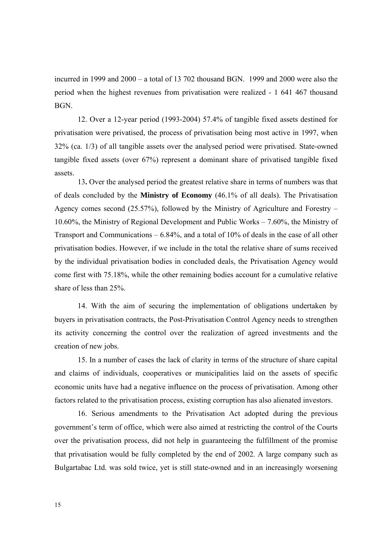incurred in 1999 and 2000 – a total of 13 702 thousand BGN. 1999 and 2000 were also the period when the highest revenues from privatisation were realized - 1 641 467 thousand BGN.

12. Over a 12-year period (1993-2004) 57.4% of tangible fixed assets destined for privatisation were privatised, the process of privatisation being most active in 1997, when 32% (ca. 1/3) of all tangible assets over the analysed period were privatised. State-owned tangible fixed assets (over 67%) represent a dominant share of privatised tangible fixed assets.

13**.** Over the analysed period the greatest relative share in terms of numbers was that of deals concluded by the **Ministry of Economy** (46.1% of all deals). The Privatisation Agency comes second (25.57%), followed by the Ministry of Agriculture and Forestry – 10.60%, the Ministry of Regional Development and Public Works – 7.60%, the Ministry of Transport and Communications – 6.84%, and a total of 10% of deals in the case of all other privatisation bodies. However, if we include in the total the relative share of sums received by the individual privatisation bodies in concluded deals, the Privatisation Agency would come first with 75.18%, while the other remaining bodies account for a cumulative relative share of less than 25%.

14. With the aim of securing the implementation of obligations undertaken by buyers in privatisation contracts, the Post-Privatisation Control Agency needs to strengthen its activity concerning the control over the realization of agreed investments and the creation of new jobs.

15. In a number of cases the lack of clarity in terms of the structure of share capital and claims of individuals, cooperatives or municipalities laid on the assets of specific economic units have had a negative influence on the process of privatisation. Among other factors related to the privatisation process, existing corruption has also alienated investors.

16. Serious amendments to the Privatisation Act adopted during the previous government's term of office, which were also aimed at restricting the control of the Courts over the privatisation process, did not help in guaranteeing the fulfillment of the promise that privatisation would be fully completed by the end of 2002. A large company such as Bulgartabac Ltd. was sold twice, yet is still state-owned and in an increasingly worsening